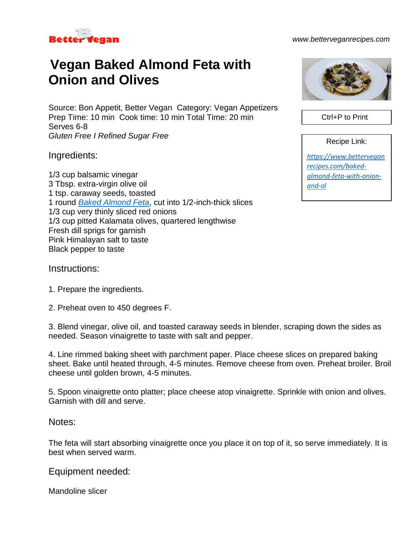

## *www.betterveganrecipes.com*

## **Vegan Baked Almond Feta with Onion and Olives**

Source: Bon Appetit, Better Vegan Category: Vegan Appetizers Prep Time: 10 min Cook time: 10 min Total Time: 20 min Serves 6-8 *Gluten Free I Refined Sugar Free*

Ingredients:

1/3 cup balsamic vinegar 3 Tbsp. extra-virgin olive oil 1 tsp. caraway seeds, toasted 1 round *[Baked Almond Feta](https://www.betterveganrecipes.com/oil-free-easy-baked-almond-feta)*, cut into 1/2-inch-thick slices 1/3 cup very thinly sliced red onions 1/3 cup pitted Kalamata olives, quartered lengthwise Fresh dill sprigs for garnish Pink Himalayan salt to taste Black pepper to taste



Ctrl+P to Print

Recipe Link:

*[https://www.bettervegan](https://www.betterveganrecipes.com/baked-almond-feta-with-onion-and-ol) [recipes.com/baked](https://www.betterveganrecipes.com/baked-almond-feta-with-onion-and-ol)[almond-feta-with-onion](https://www.betterveganrecipes.com/baked-almond-feta-with-onion-and-ol)[and-ol](https://www.betterveganrecipes.com/baked-almond-feta-with-onion-and-ol)*

Instructions:

- 1. Prepare the ingredients.
- 2. Preheat oven to 450 degrees F.

3. Blend vinegar, olive oil, and toasted caraway seeds in blender, scraping down the sides as needed. Season vinaigrette to taste with salt and pepper.

4. Line rimmed baking sheet with parchment paper. Place cheese slices on prepared baking sheet. Bake until heated through, 4-5 minutes. Remove cheese from oven. Preheat broiler. Broil cheese until golden brown, 4-5 minutes.

5. Spoon vinaigrette onto platter; place cheese atop vinaigrette. Sprinkle with onion and olives. Garnish with dill and serve.

## Notes:

The feta will start absorbing vinaigrette once you place it on top of it, so serve immediately. It is best when served warm.

Equipment needed:

Mandoline slicer